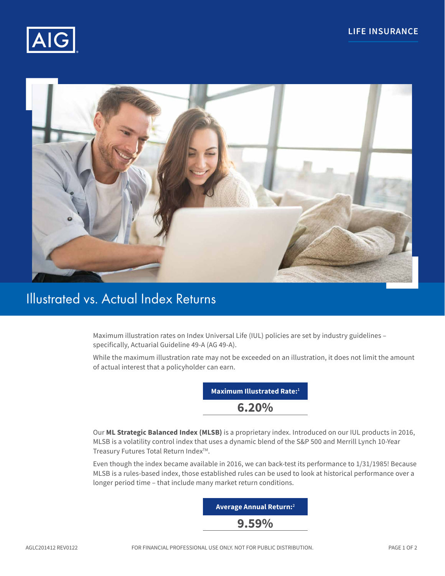



# Illustrated vs. Actual Index Returns

Maximum illustration rates on Index Universal Life (IUL) policies are set by industry guidelines – specifically, Actuarial Guideline 49-A (AG 49-A).

While the maximum illustration rate may not be exceeded on an illustration, it does not limit the amount of actual interest that a policyholder can earn.



Our **ML Strategic Balanced Index (MLSB)** is a proprietary index. Introduced on our IUL products in 2016, MLSB is a volatility control index that uses a dynamic blend of the S&P 500 and Merrill Lynch 10-Year Treasury Futures Total Return Index<sup>™</sup>.

Even though the index became available in 2016, we can back-test its performance to 1/31/1985! Because MLSB is a rules-based index, those established rules can be used to look at historical performance over a longer period time – that include many market return conditions.